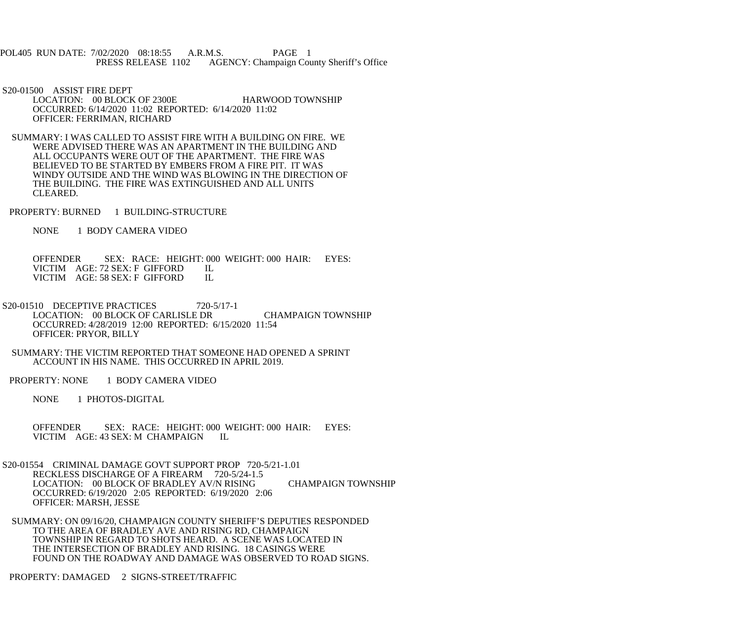POL405 RUN DATE: 7/02/2020 08:18:55 A.R.M.S. PAGE 1<br>PRESS RELEASE 1102 AGENCY: Champaign Cou AGENCY: Champaign County Sheriff's Office

S20-01500 ASSIST FIRE DEPT

LOCATION: 00 BLOCK OF 2300E HARWOOD TOWNSHIP OCCURRED: 6/14/2020 11:02 REPORTED: 6/14/2020 11:02 OFFICER: FERRIMAN, RICHARD

 SUMMARY: I WAS CALLED TO ASSIST FIRE WITH A BUILDING ON FIRE. WE WERE ADVISED THERE WAS AN APARTMENT IN THE BUILDING AND ALL OCCUPANTS WERE OUT OF THE APARTMENT. THE FIRE WAS BELIEVED TO BE STARTED BY EMBERS FROM A FIRE PIT. IT WAS WINDY OUTSIDE AND THE WIND WAS BLOWING IN THE DIRECTION OF THE BUILDING. THE FIRE WAS EXTINGUISHED AND ALL UNITS CLEARED.

PROPERTY: BURNED 1 BUILDING-STRUCTURE

NONE 1 BODY CAMERA VIDEO

 OFFENDER SEX: RACE: HEIGHT: 000 WEIGHT: 000 HAIR: EYES: VICTIM AGE: 72 SEX: F GIFFORD IL<br>VICTIM AGE: 58 SEX: F GIFFORD IL VICTIM AGE: 58 SEX: F GIFFORD

S20-01510 DECEPTIVE PRACTICES 720-5/17-1 LOCATION: 00 BLOCK OF CARLISLE DR CHAMPAIGN TOWNSHIP OCCURRED: 4/28/2019 12:00 REPORTED: 6/15/2020 11:54 OFFICER: PRYOR, BILLY

 SUMMARY: THE VICTIM REPORTED THAT SOMEONE HAD OPENED A SPRINT ACCOUNT IN HIS NAME. THIS OCCURRED IN APRIL 2019.

PROPERTY: NONE 1 BODY CAMERA VIDEO

NONE 1 PHOTOS-DIGITAL

OFFENDER SEX: RACE: HEIGHT: 000 WEIGHT: 000 HAIR: EYES:<br>VICTIM AGE: 43 SEX: M CHAMPAIGN II. VICTIM AGE: 43 SEX: M CHAMPAIGN

 S20-01554 CRIMINAL DAMAGE GOVT SUPPORT PROP 720-5/21-1.01 RECKLESS DISCHARGE OF A FIREARM 720-5/24-1.5 LOCATION: 00 BLOCK OF BRADLEY AV/N RISING CHAMPAIGN TOWNSHIP OCCURRED: 6/19/2020 2:05 REPORTED: 6/19/2020 2:06 OFFICER: MARSH, JESSE

 SUMMARY: ON 09/16/20, CHAMPAIGN COUNTY SHERIFF'S DEPUTIES RESPONDED TO THE AREA OF BRADLEY AVE AND RISING RD, CHAMPAIGN TOWNSHIP IN REGARD TO SHOTS HEARD. A SCENE WAS LOCATED IN THE INTERSECTION OF BRADLEY AND RISING. 18 CASINGS WERE FOUND ON THE ROADWAY AND DAMAGE WAS OBSERVED TO ROAD SIGNS.

PROPERTY: DAMAGED 2 SIGNS-STREET/TRAFFIC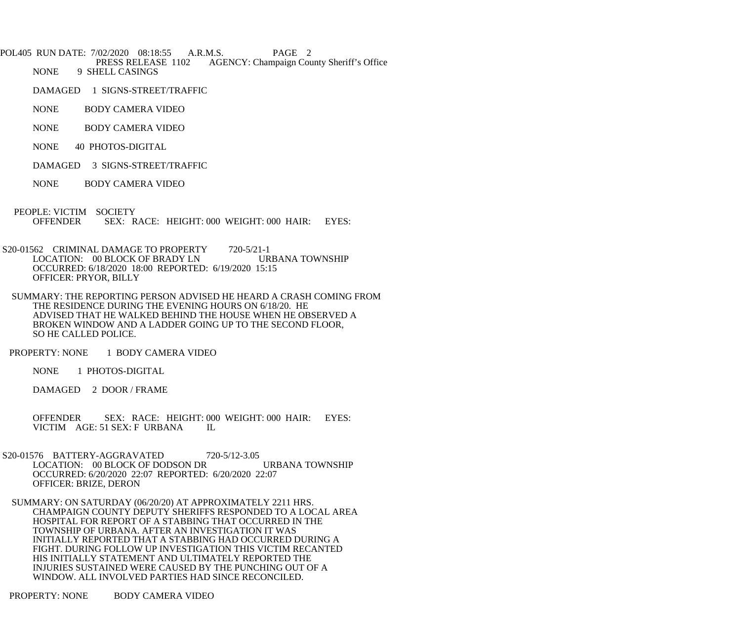POL405 RUN DATE: 7/02/2020 08:18:55 A.R.M.S. PAGE 2<br>PRESS RELEASE 1102 AGENCY: Champaign Cou PRESS RELEASE 1102 AGENCY: Champaign County Sheriff's Office<br>NONE 9 SHELL CASINGS 9 SHELL CASINGS

DAMAGED 1 SIGNS-STREET/TRAFFIC

NONE BODY CAMERA VIDEO

- NONE BODY CAMERA VIDEO
- NONE 40 PHOTOS-DIGITAL
- DAMAGED 3 SIGNS-STREET/TRAFFIC
- NONE BODY CAMERA VIDEO

PEOPLE: VICTIM SOCIETY<br>OFFENDER SEX: R SEX: RACE: HEIGHT: 000 WEIGHT: 000 HAIR: EYES:

S20-01562 CRIMINAL DAMAGE TO PROPERTY 720-5/21-1<br>LOCATION: 00 BLOCK OF BRADY LN URBANA TOWNSHIP LOCATION: 00 BLOCK OF BRADY LN OCCURRED: 6/18/2020 18:00 REPORTED: 6/19/2020 15:15 OFFICER: PRYOR, BILLY

 SUMMARY: THE REPORTING PERSON ADVISED HE HEARD A CRASH COMING FROM THE RESIDENCE DURING THE EVENING HOURS ON 6/18/20. HE ADVISED THAT HE WALKED BEHIND THE HOUSE WHEN HE OBSERVED A BROKEN WINDOW AND A LADDER GOING UP TO THE SECOND FLOOR, SO HE CALLED POLICE.

PROPERTY: NONE 1 BODY CAMERA VIDEO

NONE 1 PHOTOS-DIGITAL

DAMAGED 2 DOOR / FRAME

 OFFENDER SEX: RACE: HEIGHT: 000 WEIGHT: 000 HAIR: EYES: VICTIM AGE: 51 SEX: F URBANA IL

 S20-01576 BATTERY-AGGRAVATED 720-5/12-3.05 LOCATION: 00 BLOCK OF DODSON DR URBANA TOWNSHIP OCCURRED: 6/20/2020 22:07 REPORTED: 6/20/2020 22:07 OFFICER: BRIZE, DERON

 SUMMARY: ON SATURDAY (06/20/20) AT APPROXIMATELY 2211 HRS. CHAMPAIGN COUNTY DEPUTY SHERIFFS RESPONDED TO A LOCAL AREA HOSPITAL FOR REPORT OF A STABBING THAT OCCURRED IN THE TOWNSHIP OF URBANA. AFTER AN INVESTIGATION IT WAS INITIALLY REPORTED THAT A STABBING HAD OCCURRED DURING A FIGHT. DURING FOLLOW UP INVESTIGATION THIS VICTIM RECANTED HIS INITIALLY STATEMENT AND ULTIMATELY REPORTED THE INJURIES SUSTAINED WERE CAUSED BY THE PUNCHING OUT OF A WINDOW. ALL INVOLVED PARTIES HAD SINCE RECONCILED.

PROPERTY: NONE BODY CAMERA VIDEO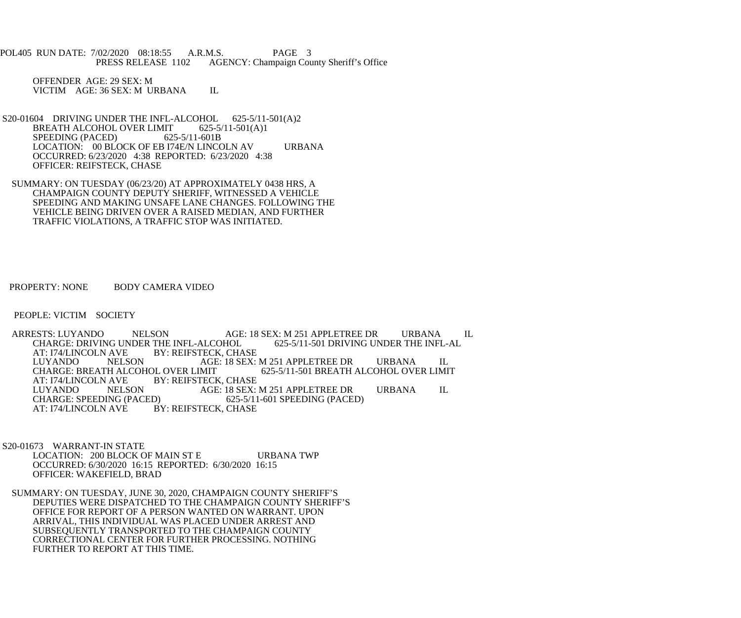POL405 RUN DATE: 7/02/2020 08:18:55 A.R.M.S. PAGE 3<br>PRESS RELEASE 1102 AGENCY: Champaign Cou AGENCY: Champaign County Sheriff's Office

 OFFENDER AGE: 29 SEX: M VICTIM AGE: 36 SEX: M URBANA IL

- S20-01604 DRIVING UNDER THE INFL-ALCOHOL 625-5/11-501(A)2<br>BREATH ALCOHOL OVER LIMIT 625-5/11-501(A)1 BREATH ALCOHOL OVER LIMIT 625-5/<br>SPEEDING (PACED) 625-5/11-601B SPEEDING (PACED) LOCATION: 00 BLOCK OF EB I74E/N LINCOLN AV URBANA OCCURRED: 6/23/2020 4:38 REPORTED: 6/23/2020 4:38 OFFICER: REIFSTECK, CHASE
- SUMMARY: ON TUESDAY (06/23/20) AT APPROXIMATELY 0438 HRS, A CHAMPAIGN COUNTY DEPUTY SHERIFF, WITNESSED A VEHICLE SPEEDING AND MAKING UNSAFE LANE CHANGES. FOLLOWING THE VEHICLE BEING DRIVEN OVER A RAISED MEDIAN, AND FURTHER TRAFFIC VIOLATIONS, A TRAFFIC STOP WAS INITIATED.

PROPERTY: NONE BODY CAMERA VIDEO

PEOPLE: VICTIM SOCIETY

ARRESTS: LUYANDO NELSON AGE: 18 SEX: M 251 APPLETREE DR URBANA IL CHARGE: DRIVING UNDER THE INFL-AL CHARGE: DRIVING UNDER THE INFL-ALCOHOL<br>AT: I74/LINCOLN AVE BY: REIFSTECK, CHA AT: I74/LINCOLN AVE BY: REIFSTECK, CHASE<br>LUYANDO NELSON AGE: 18 SEX: LUYANDO NELSON AGE: 18 SEX: M 251 APPLETREE DR URBANA IL CHARGE: BREATH ALCOHOL OVER LIMIT 625-5/11-501 BREATH ALCOHOL OVER LIMIT AT: I74/LINCOLN AVE BY: REIFSTECK, CHASE<br>LUYANDO NELSON AGE: 18 SEX: LUYANDO NELSON AGE: 18 SEX: M 251 APPLETREE DR URBANA IL<br>CHARGE: SPEEDING (PACED) 625-5/11-601 SPEEDING (PACED) CHARGE: SPEEDING (PACED) 625-5/11-601 SPEEDING (PACED)<br>AT: I74/LINCOLN AVE BY: REIFSTECK. CHASE BY: REIFSTECK, CHASE

 S20-01673 WARRANT-IN STATE LOCATION: 200 BLOCK OF MAIN ST E URBANA TWP OCCURRED: 6/30/2020 16:15 REPORTED: 6/30/2020 16:15 OFFICER: WAKEFIELD, BRAD

 SUMMARY: ON TUESDAY, JUNE 30, 2020, CHAMPAIGN COUNTY SHERIFF'S DEPUTIES WERE DISPATCHED TO THE CHAMPAIGN COUNTY SHERIFF'S OFFICE FOR REPORT OF A PERSON WANTED ON WARRANT. UPON ARRIVAL, THIS INDIVIDUAL WAS PLACED UNDER ARREST AND SUBSEQUENTLY TRANSPORTED TO THE CHAMPAIGN COUNTY CORRECTIONAL CENTER FOR FURTHER PROCESSING. NOTHING FURTHER TO REPORT AT THIS TIME.